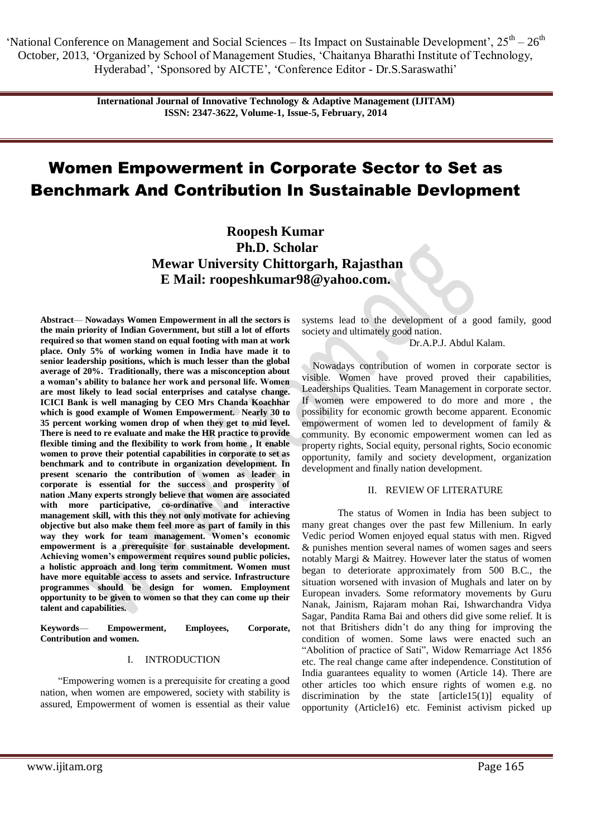'National Conference on Management and Social Sciences – Its Impact on Sustainable Development',  $25^{th} - 26^{th}$ October, 2013, ‗Organized by School of Management Studies, ‗Chaitanya Bharathi Institute of Technology, Hyderabad', 'Sponsored by AICTE', 'Conference Editor - Dr.S. Saraswathi'

> **International Journal of Innovative Technology & Adaptive Management (IJITAM) ISSN: 2347-3622, Volume-1, Issue-5, February, 2014**

# Women Empowerment in Corporate Sector to Set as Benchmark And Contribution In Sustainable Devlopment

**Roopesh Kumar Ph.D. Scholar Mewar University Chittorgarh, Rajasthan E Mail: [roopeshkumar98@yahoo.com.](mailto:roopeshkumar98@yahoo.com)** 

**Abstract**— **Nowadays Women Empowerment in all the sectors is the main priority of Indian Government, but still a lot of efforts required so that women stand on equal footing with man at work place. Only 5% of working women in India have made it to senior leadership positions, which is much lesser than the global average of 20%. Traditionally, there was a misconception about a woman's ability to balance her work and personal life. Women are most likely to lead social enterprises and catalyse change. ICICI Bank is well managing by CEO Mrs Chanda Koachhar which is good example of Women Empowerment. Nearly 30 to 35 percent working women drop of when they get to mid level. There is need to re evaluate and make the HR practice to provide flexible timing and the flexibility to work from home , It enable women to prove their potential capabilities in corporate to set as benchmark and to contribute in organization development. In present scenario the contribution of women as leader in corporate is essential for the success and prosperity of nation .Many experts strongly believe that women are associated with more participative, co-ordinative and interactive management skill, with this they not only motivate for achieving objective but also make them feel more as part of family in this way they work for team management. Women's economic empowerment is a prerequisite for sustainable development. Achieving women's empowerment requires sound public policies, a holistic approach and long term commitment. Women must have more equitable access to assets and service. Infrastructure programmes should be design for women. Employment opportunity to be given to women so that they can come up their talent and capabilities.**

**Keywords**— **Empowerment, Employees, Corporate, Contribution and women.**

# I. INTRODUCTION

―Empowering women is a prerequisite for creating a good nation, when women are empowered, society with stability is assured, Empowerment of women is essential as their value systems lead to the development of a good family, good society and ultimately good nation.

Dr.A.P.J. Abdul Kalam.

Nowadays contribution of women in corporate sector is visible. Women have proved proved their capabilities, Leaderships Qualities. Team Management in corporate sector. If women were empowered to do more and more , the possibility for economic growth become apparent. Economic empowerment of women led to development of family & community. By economic empowerment women can led as property rights, Social equity, personal rights, Socio economic opportunity, family and society development, organization development and finally nation development.

## II. REVIEW OF LITERATURE

The status of Women in India has been subject to many great changes over the past few Millenium. In early Vedic period Women enjoyed equal status with men. Rigved & punishes mention several names of women sages and seers notably Margi & Maitrey. However later the status of women began to deteriorate approximately from 500 B.C., the situation worsened with invasion of Mughals and later on by European invaders. Some reformatory movements by Guru Nanak, Jainism, Rajaram mohan Rai, Ishwarchandra Vidya Sagar, Pandita Rama Bai and others did give some relief. It is not that Britishers didn't do any thing for improving the condition of women. Some laws were enacted such an "Abolition of practice of Sati", Widow Remarriage Act 1856 etc. The real change came after independence. Constitution of India guarantees equality to women (Article 14). There are other articles too which ensure rights of women e.g. no discrimination by the state [article15(1)] equality of opportunity (Article16) etc. Feminist activism picked up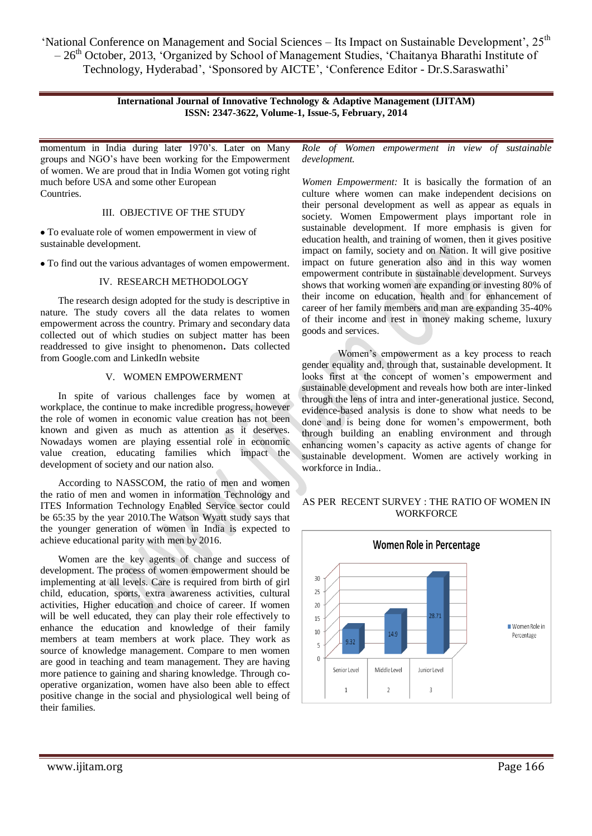'National Conference on Management and Social Sciences – Its Impact on Sustainable Development', 25<sup>th</sup>  $-26<sup>th</sup>$  October, 2013, 'Organized by School of Management Studies, 'Chaitanya Bharathi Institute of Technology, Hyderabad', 'Sponsored by AICTE', 'Conference Editor - Dr.S.Saraswathi'

## **International Journal of Innovative Technology & Adaptive Management (IJITAM) ISSN: 2347-3622, Volume-1, Issue-5, February, 2014**

momentum in India during later 1970's. Later on Many groups and NGO's have been working for the Empowerment of women. We are proud that in India Women got voting right much before USA and some other European **Countries** 

#### III. OBJECTIVE OF THE STUDY

To evaluate role of women empowerment in view of sustainable development.

To find out the various advantages of women empowerment.

## IV. RESEARCH METHODOLOGY

The research design adopted for the study is descriptive in nature. The study covers all the data relates to women empowerment across the country. Primary and secondary data collected out of which studies on subject matter has been readdressed to give insight to phenomenon**.** Dats collected from Google.com and LinkedIn website

# V. WOMEN EMPOWERMENT

In spite of various challenges face by women at workplace, the continue to make incredible progress, however the role of women in economic value creation has not been known and given as much as attention as it deserves. Nowadays women are playing essential role in economic value creation, educating families which impact the development of society and our nation also.

According to NASSCOM, the ratio of men and women the ratio of men and women in information Technology and ITES Information Technology Enabled Service sector could be 65:35 by the year 2010.The Watson Wyatt study says that the younger generation of women in India is expected to achieve educational parity with men by 2016.

Women are the key agents of change and success of development. The process of women empowerment should be implementing at all levels. Care is required from birth of girl child, education, sports, extra awareness activities, cultural activities, Higher education and choice of career. If women will be well educated, they can play their role effectively to enhance the education and knowledge of their family members at team members at work place. They work as source of knowledge management. Compare to men women are good in teaching and team management. They are having more patience to gaining and sharing knowledge. Through cooperative organization, women have also been able to effect positive change in the social and physiological well being of their families.

*Role of Women empowerment in view of sustainable development.*

*Women Empowerment:* It is basically the formation of an culture where women can make independent decisions on their personal development as well as appear as equals in society. Women Empowerment plays important role in sustainable development. If more emphasis is given for education health, and training of women, then it gives positive impact on family, society and on Nation. It will give positive impact on future generation also and in this way women empowerment contribute in sustainable development. Surveys shows that working women are expanding or investing 80% of their income on education, health and for enhancement of career of her family members and man are expanding 35-40% of their income and rest in money making scheme, luxury goods and services.

Women's empowerment as a key process to reach gender equality and, through that, sustainable development. It looks first at the concept of women's empowerment and sustainable development and reveals how both are inter-linked through the lens of intra and inter-generational justice. Second, evidence-based analysis is done to show what needs to be done and is being done for women's empowerment, both through building an enabling environment and through enhancing women's capacity as active agents of change for sustainable development. Women are actively working in workforce in India..

## AS PER RECENT SURVEY : THE RATIO OF WOMEN IN **WORKFORCE**

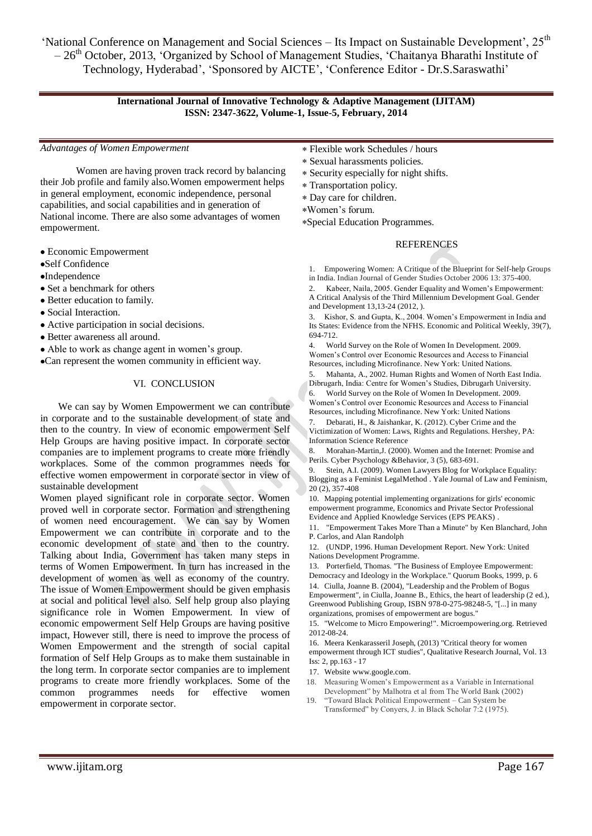'National Conference on Management and Social Sciences – Its Impact on Sustainable Development', 25<sup>th</sup>  $-26<sup>th</sup>$  October, 2013, 'Organized by School of Management Studies, 'Chaitanya Bharathi Institute of Technology, Hyderabad', 'Sponsored by AICTE', 'Conference Editor - Dr.S.Saraswathi'

## **International Journal of Innovative Technology & Adaptive Management (IJITAM) ISSN: 2347-3622, Volume-1, Issue-5, February, 2014**

*Advantages of Women Empowerment*

Women are having proven track record by balancing their Job profile and family also.Women empowerment helps in general employment, economic independence, personal capabilities, and social capabilities and in generation of National income. There are also some advantages of women empowerment.

- Economic Empowerment
- Self Confidence
- Independence
- Set a benchmark for others
- Better education to family.
- Social Interaction.
- Active participation in social decisions.
- Better awareness all around.
- Able to work as change agent in women's group.
- Can represent the women community in efficient way.

## VI. CONCLUSION

We can say by Women Empowerment we can contribute in corporate and to the sustainable development of state and then to the country. In view of economic empowerment Self Help Groups are having positive impact. In corporate sector companies are to implement programs to create more friendly workplaces. Some of the common programmes needs for effective women empowerment in corporate sector in view of sustainable development

Women played significant role in corporate sector. Women proved well in corporate sector. Formation and strengthening of women need encouragement. We can say by Women Empowerment we can contribute in corporate and to the economic development of state and then to the country. Talking about India, Government has taken many steps in terms of Women Empowerment. In turn has increased in the development of women as well as economy of the country. The issue of Women Empowerment should be given emphasis at social and political level also. Self help group also playing significance role in Women Empowerment. In view of economic empowerment Self Help Groups are having positive impact, However still, there is need to improve the process of Women Empowerment and the strength of social capital formation of Self Help Groups as to make them sustainable in the long term. In corporate sector companies are to implement programs to create more friendly workplaces. Some of the common programmes needs for effective women empowerment in corporate sector.

- Flexible work Schedules / hours
- Sexual harassments policies.
- Security especially for night shifts.
- Transportation policy.
- Day care for children.
- Women's forum.

Special Education Programmes.

## REFERENCES

1. Empowering Women: A Critique of the Blueprint for Self-help Groups in India. Indian Journal of Gender Studies October 2006 13: 375-400.

2. Kabeer, Naila, 2005. Gender Equality and Women's Empowerment: A Critical Analysis of the Third Millennium Development Goal. Gender and Development 13,13-24 (2012, ).

3. Kishor, S. and Gupta, K., 2004. Women's Empowerment in India and Its States: Evidence from the NFHS. Economic and Political Weekly, 39(7), 694-712.

4. World Survey on the Role of Women In Development. 2009. Women's Control over Economic Resources and Access to Financial Resources, including Microfinance. New York: United Nations.

5. Mahanta, A., 2002. Human Rights and Women of North East India. Dibrugarh, India: Centre for Women's Studies, Dibrugarh University.

6. World Survey on the Role of Women In Development. 2009. Women's Control over Economic Resources and Access to Financial Resources, including Microfinance. New York: United Nations

7. Debarati, H., & Jaishankar, K. (2012). Cyber Crime and the Victimization of Women: Laws, Rights and Regulations. Hershey, PA: Information Science Reference

8. Morahan-Martin,J. (2000). Women and the Internet: Promise and Perils. Cyber Psychology &Behavior, 3 (5), 683-691.

Stein, A.I. (2009). Women Lawyers Blog for Workplace Equality: Blogging as a Feminist LegalMethod . Yale Journal of Law and Feminism, 20 (2), 357-408

10. Mapping potential implementing organizations for girls' economic empowerment programme, Economics and Private Sector Professional Evidence and Applied Knowledge Services (EPS PEAKS) .

11. "Empowerment Takes More Than a Minute" by Ken Blanchard, John P. Carlos, and Alan Randolph

12. (UNDP, 1996. Human Development Report. New York: United Nations Development Programme.

13. Porterfield, Thomas. "The Business of Employee Empowerment: Democracy and Ideology in the Workplace." Quorum Books, 1999, p. 6 14. Ciulla, Joanne B. (2004), "Leadership and the Problem of Bogus Empowerment", in Ciulla, Joanne B., Ethics, the heart of leadership (2 ed.), Greenwood Publishing Group, [ISBN](http://en.wikipedia.org/wiki/International_Standard_Book_Number) [978-0-275-98248-5,](http://en.wikipedia.org/wiki/Special:BookSources/978-0-275-98248-5) "[...] in many organizations, promises of empowerment are bogus."

15. ["Welcome to Micro Empowering!".](http://www.microempowering.org/) Microempowering.org. Retrieved 2012-08-24.

16. Meera Kenkarasseril Joseph, (2013) "Critical theory for women empowerment through ICT studies", Qualitative Research Journal, Vol. 13 Iss: 2, pp.163 - 17

- 17. Websit[e www.google.com.](http://www.google.com/)
- 18. Measuring Women's Empowerment as a Variable in International Development" by Malhotra et al from The World Bank (2002)
- 19. "Toward Black Political Empowerment Can System be Transformed" by Conyers, J. in Black Scholar 7:2 (1975).